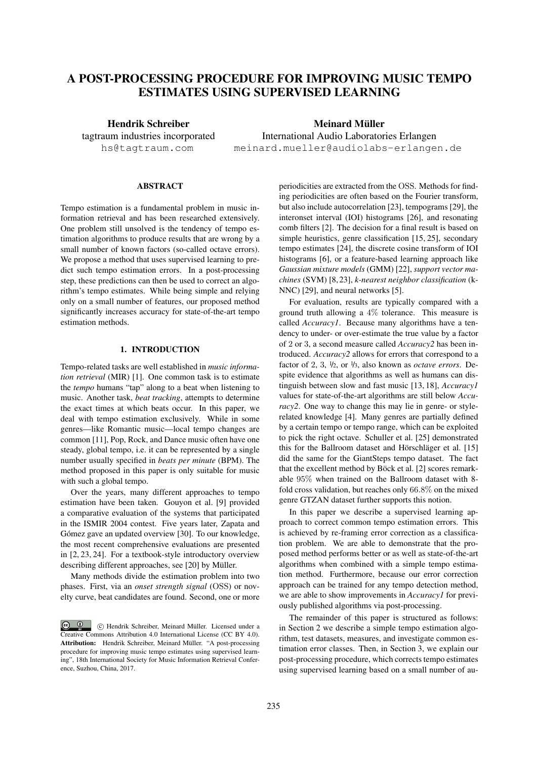# A POST-PROCESSING PROCEDURE FOR IMPROVING MUSIC TEMPO ESTIMATES USING SUPERVISED LEARNING

Hendrik Schreiber tagtraum industries incorporated hs@tagtraum.com

Meinard Müller International Audio Laboratories Erlangen meinard.mueller@audiolabs-erlangen.de

## **ABSTRACT**

Tempo estimation is a fundamental problem in music information retrieval and has been researched extensively. One problem still unsolved is the tendency of tempo estimation algorithms to produce results that are wrong by a small number of known factors (so-called octave errors). We propose a method that uses supervised learning to predict such tempo estimation errors. In a post-processing step, these predictions can then be used to correct an algorithm's tempo estimates. While being simple and relying only on a small number of features, our proposed method significantly increases accuracy for state-of-the-art tempo estimation methods.

# 1. INTRODUCTION

Tempo-related tasks are well established in *music information retrieval* (MIR) [1]. One common task is to estimate the *tempo* humans "tap" along to a beat when listening to music. Another task, *beat tracking*, attempts to determine the exact times at which beats occur. In this paper, we deal with tempo estimation exclusively. While in some genres—like Romantic music—local tempo changes are common [11], Pop, Rock, and Dance music often have one steady, global tempo, i.e. it can be represented by a single number usually specified in *beats per minute* (BPM). The method proposed in this paper is only suitable for music with such a global tempo.

Over the years, many different approaches to tempo estimation have been taken. Gouyon et al. [9] provided a comparative evaluation of the systems that participated in the ISMIR 2004 contest. Five years later, Zapata and Gómez gave an updated overview [30]. To our knowledge, the most recent comprehensive evaluations are presented in [2, 23, 24]. For a textbook-style introductory overview describing different approaches, see [20] by Müller.

Many methods divide the estimation problem into two phases. First, via an *onset strength signal* (OSS) or novelty curve, beat candidates are found. Second, one or more periodicities are extracted from the OSS. Methods for finding periodicities are often based on the Fourier transform, but also include autocorrelation [23], tempograms [29], the interonset interval (IOI) histograms [26], and resonating comb filters [2]. The decision for a final result is based on simple heuristics, genre classification [15, 25], secondary tempo estimates [24], the discrete cosine transform of IOI histograms [6], or a feature-based learning approach like *Gaussian mixture models* (GMM) [22], *support vector machines* (SVM) [8, 23], *k-nearest neighbor classification* (k-NNC) [29], and neural networks [5].

For evaluation, results are typically compared with a ground truth allowing a 4% tolerance. This measure is called *Accuracy1*. Because many algorithms have a tendency to under- or over-estimate the true value by a factor of 2 or 3, a second measure called *Accuracy2* has been introduced. *Accuracy2* allows for errors that correspond to a factor of 2, 3, <sup>1</sup>/2, or <sup>1</sup>/3, also known as *octave errors*. Despite evidence that algorithms as well as humans can distinguish between slow and fast music [13, 18], *Accuracy1* values for state-of-the-art algorithms are still below *Accuracy2*. One way to change this may lie in genre- or stylerelated knowledge [4]. Many genres are partially defined by a certain tempo or tempo range, which can be exploited to pick the right octave. Schuller et al. [25] demonstrated this for the Ballroom dataset and Hörschläger et al. [15] did the same for the GiantSteps tempo dataset. The fact that the excellent method by Böck et al. [2] scores remarkable 95% when trained on the Ballroom dataset with 8 fold cross validation, but reaches only 66.8% on the mixed genre GTZAN dataset further supports this notion.

In this paper we describe a supervised learning approach to correct common tempo estimation errors. This is achieved by re-framing error correction as a classification problem. We are able to demonstrate that the proposed method performs better or as well as state-of-the-art algorithms when combined with a simple tempo estimation method. Furthermore, because our error correction approach can be trained for any tempo detection method, we are able to show improvements in *Accuracy1* for previously published algorithms via post-processing.

The remainder of this paper is structured as follows: in Section 2 we describe a simple tempo estimation algorithm, test datasets, measures, and investigate common estimation error classes. Then, in Section 3, we explain our post-processing procedure, which corrects tempo estimates using supervised learning based on a small number of au-

 $\circ$   $\circ$  c Hendrik Schreiber, Meinard Muller. Licensed under a ¨ Creative Commons Attribution 4.0 International License (CC BY 4.0). Attribution: Hendrik Schreiber, Meinard Müller. "A post-processing procedure for improving music tempo estimates using supervised learning", 18th International Society for Music Information Retrieval Conference, Suzhou, China, 2017.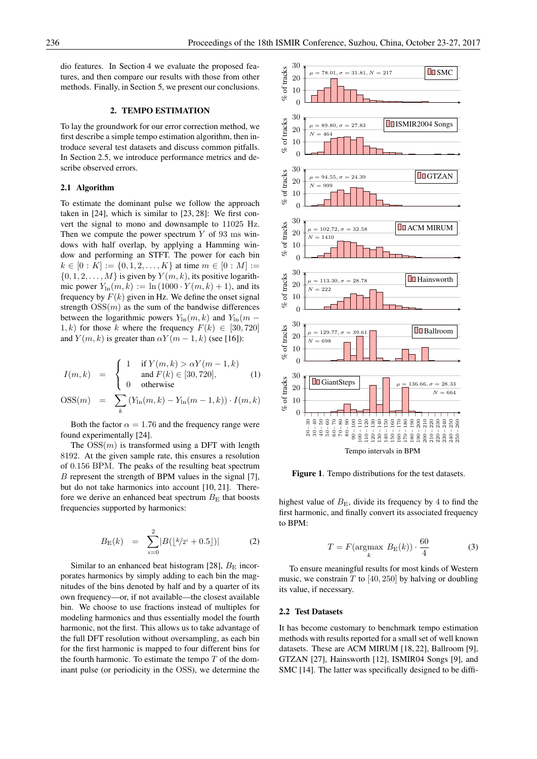dio features. In Section 4 we evaluate the proposed features, and then compare our results with those from other methods. Finally, in Section 5, we present our conclusions.

#### 2. TEMPO ESTIMATION

To lay the groundwork for our error correction method, we first describe a simple tempo estimation algorithm, then introduce several test datasets and discuss common pitfalls. In Section 2.5, we introduce performance metrics and describe observed errors.

#### 2.1 Algorithm

To estimate the dominant pulse we follow the approach taken in [24], which is similar to [23, 28]: We first convert the signal to mono and downsample to 11025 Hz. Then we compute the power spectrum  $Y$  of 93 ms windows with half overlap, by applying a Hamming window and performing an STFT. The power for each bin  $k \in [0:K] := \{0,1,2,\ldots,K\}$  at time  $m \in [0:M] :=$  $\{0, 1, 2, \ldots, M\}$  is given by  $Y(m, k)$ , its positive logarithmic power  $Y_{\text{ln}}(m, k) := \ln(1000 \cdot Y(m, k) + 1)$ , and its frequency by  $F(k)$  given in Hz. We define the onset signal strength  $OSS(m)$  as the sum of the bandwise differences between the logarithmic powers  $Y_{\text{ln}}(m, k)$  and  $Y_{\text{ln}}(m -$ 1, k) for those k where the frequency  $F(k) \in [30, 720]$ and  $Y(m, k)$  is greater than  $\alpha Y(m - 1, k)$  (see [16]):

$$
I(m,k) = \begin{cases} 1 & \text{if } Y(m,k) > \alpha Y(m-1,k) \\ \text{and } F(k) \in [30,720], \\ 0 & \text{otherwise} \end{cases}
$$
 (1)

$$
OSS(m) = \sum_{k} (Y_{\text{ln}}(m, k) - Y_{\text{ln}}(m - 1, k)) \cdot I(m, k)
$$

Both the factor  $\alpha = 1.76$  and the frequency range were found experimentally [24].

The  $OSS(m)$  is transformed using a DFT with length 8192. At the given sample rate, this ensures a resolution of 0.156 BPM. The peaks of the resulting beat spectrum B represent the strength of BPM values in the signal [7], but do not take harmonics into account [10, 21]. Therefore we derive an enhanced beat spectrum  $B<sub>E</sub>$  that boosts frequencies supported by harmonics:

$$
B_{\mathcal{E}}(k) = \sum_{i=0}^{2} |B(\lfloor k/2^{i} + 0.5 \rfloor)| \qquad (2)
$$

Similar to an enhanced beat histogram [28],  $B<sub>E</sub>$  incorporates harmonics by simply adding to each bin the magnitudes of the bins denoted by half and by a quarter of its own frequency—or, if not available—the closest available bin. We choose to use fractions instead of multiples for modeling harmonics and thus essentially model the fourth harmonic, not the first. This allows us to take advantage of the full DFT resolution without oversampling, as each bin for the first harmonic is mapped to four different bins for the fourth harmonic. To estimate the tempo  $T$  of the dominant pulse (or periodicity in the OSS), we determine the



Figure 1. Tempo distributions for the test datasets.

highest value of  $B<sub>E</sub>$ , divide its frequency by 4 to find the first harmonic, and finally convert its associated frequency to BPM:

$$
T = F(\underset{k}{\text{argmax}} B_{\text{E}}(k)) \cdot \frac{60}{4} \tag{3}
$$

To ensure meaningful results for most kinds of Western music, we constrain  $T$  to [40, 250] by halving or doubling its value, if necessary.

#### 2.2 Test Datasets

It has become customary to benchmark tempo estimation methods with results reported for a small set of well known datasets. These are ACM MIRUM [18, 22], Ballroom [9], GTZAN [27], Hainsworth [12], ISMIR04 Songs [9], and SMC [14]. The latter was specifically designed to be diffi-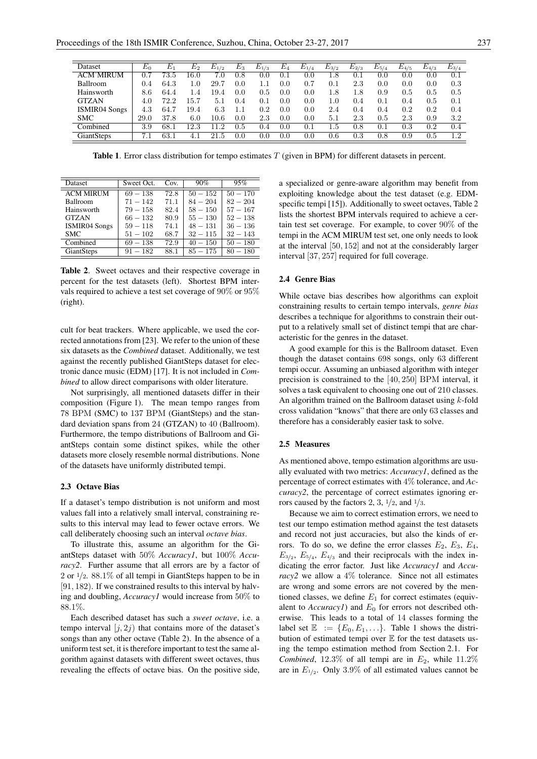| Dataset              | $E_0$ | $E_1$ | $E_2$   | $E_{1/2}$ | $E_3$   | $E_{1/3}$ | $E_4$ | $E_{1/4}$ | $E_{3/2}$ | $E_{2/3}$ | $E_{\rm 5/4}$ | $E_{4/5}$ | $E_{4/3}$ | $E_{3/4}$ |
|----------------------|-------|-------|---------|-----------|---------|-----------|-------|-----------|-----------|-----------|---------------|-----------|-----------|-----------|
| <b>ACM MIRUM</b>     | 0.7   | 73.5  | 16.0    | 7.0       | 0.8     | 0.0       | 0.1   | 0.0       | $^{1.8}$  | 0.1       | 0.0           | 0.0       | 0.0       | 0.1       |
| <b>Ballroom</b>      | 0.4   | 64.3  | $1.0\,$ | 29.7      | 0.0     | 1.1       | 0.0   | 0.7       | 0.1       | 2.3       | 0.0           | 0.0       | 0.0       | 0.3       |
| Hainsworth           | 8.6   | 64.4  | 1.4     | 19.4      | 0.0     | 0.5       | 0.0   | 0.0       | $^{1.8}$  | $^{1.8}$  | 0.9           | 0.5       | 0.5       | 0.5       |
| <b>GTZAN</b>         | 4.0   | 72.2  | 15.7    | 5.1       | 0.4     | 0.1       | 0.0   | 0.0       | $1.0\,$   | 0.4       | 0.1           | 0.4       | 0.5       | 0.1       |
| <b>ISMIR04 Songs</b> | 4.3   | 64.7  | 19.4    | 6.3       |         | 0.2       | 0.0   | 0.0       | 2.4       | 0.4       | 0.4           | 0.2       | 0.2       | 0.4       |
| <b>SMC</b>           | 29.0  | 37.8  | 6.0     | $10.6\,$  | 0.0     | 2.3       | 0.0   | 0.0       | 5.1       | 2.3       | 0.5           | 2.3       | 0.9       | 3.2       |
| Combined             | 3.9   | 68.1  | 12.3    | $\cdot$   | $0.5\,$ | 0.4       | 0.0   | 0.1       | $1.5\,$   | 0.8       | 0.1           | $\rm 0.3$ | 0.2       | 0.4       |
| GiantSteps           |       | 63.1  |         | 21<br>.5  | 0.0     | 0.0       | 0.0   | 0.0       | $0.6\,$   | 0.3       | 0.8           | 0.9       | 0.5       | 1.2       |

Table 1. Error class distribution for tempo estimates T (given in BPM) for different datasets in percent.

| Dataset              | Sweet Oct. | Cov. | 90%        | 95%        |
|----------------------|------------|------|------------|------------|
| <b>ACM MIRUM</b>     | $69 - 138$ | 72.8 | $50 - 152$ | $50 - 170$ |
| Ballroom             | $71 - 142$ | 71.1 | $84 - 204$ | $82 - 204$ |
| Hainsworth           | $79 - 158$ | 82.4 | $58 - 150$ | $57 - 167$ |
| <b>GTZAN</b>         | $66 - 132$ | 80.9 | $55 - 130$ | $52 - 138$ |
| <b>ISMIR04 Songs</b> | $59 - 118$ | 74.1 | $48 - 131$ | $36 - 136$ |
| <b>SMC</b>           | $51 - 102$ | 68.7 | $32 - 115$ | $32 - 143$ |
| Combined             | $69 - 138$ | 72.9 | $40 - 150$ | $50 - 180$ |
| <b>GiantSteps</b>    | $91 - 182$ | 88.1 | $85 - 175$ | $80 - 180$ |

Table 2. Sweet octaves and their respective coverage in percent for the test datasets (left). Shortest BPM intervals required to achieve a test set coverage of 90% or 95% (right).

cult for beat trackers. Where applicable, we used the corrected annotations from [23]. We refer to the union of these six datasets as the *Combined* dataset. Additionally, we test against the recently published GiantSteps dataset for electronic dance music (EDM) [17]. It is not included in *Combined* to allow direct comparisons with older literature.

Not surprisingly, all mentioned datasets differ in their composition (Figure 1). The mean tempo ranges from 78 BPM (SMC) to 137 BPM (GiantSteps) and the standard deviation spans from 24 (GTZAN) to 40 (Ballroom). Furthermore, the tempo distributions of Ballroom and GiantSteps contain some distinct spikes, while the other datasets more closely resemble normal distributions. None of the datasets have uniformly distributed tempi.

### 2.3 Octave Bias

If a dataset's tempo distribution is not uniform and most values fall into a relatively small interval, constraining results to this interval may lead to fewer octave errors. We call deliberately choosing such an interval *octave bias*.

To illustrate this, assume an algorithm for the GiantSteps dataset with 50% *Accuracy1*, but 100% *Accuracy2*. Further assume that all errors are by a factor of 2 or  $1/2$ . 88.1% of all tempi in GiantSteps happen to be in [91, 182]. If we constrained results to this interval by halving and doubling, *Accuracy1* would increase from 50% to 88.1%.

Each described dataset has such a *sweet octave*, i.e. a tempo interval  $[i, 2j]$  that contains more of the dataset's songs than any other octave (Table 2). In the absence of a uniform test set, it is therefore important to test the same algorithm against datasets with different sweet octaves, thus revealing the effects of octave bias. On the positive side, a specialized or genre-aware algorithm may benefit from exploiting knowledge about the test dataset (e.g. EDMspecific tempi [15]). Additionally to sweet octaves, Table 2 lists the shortest BPM intervals required to achieve a certain test set coverage. For example, to cover 90% of the tempi in the ACM MIRUM test set, one only needs to look at the interval [50, 152] and not at the considerably larger interval [37, 257] required for full coverage.

## 2.4 Genre Bias

While octave bias describes how algorithms can exploit constraining results to certain tempo intervals, *genre bias* describes a technique for algorithms to constrain their output to a relatively small set of distinct tempi that are characteristic for the genres in the dataset.

A good example for this is the Ballroom dataset. Even though the dataset contains 698 songs, only 63 different tempi occur. Assuming an unbiased algorithm with integer precision is constrained to the [40, 250] BPM interval, it solves a task equivalent to choosing one out of 210 classes. An algorithm trained on the Ballroom dataset using  $k$ -fold cross validation "knows" that there are only 63 classes and therefore has a considerably easier task to solve.

#### 2.5 Measures

As mentioned above, tempo estimation algorithms are usually evaluated with two metrics: *Accuracy1*, defined as the percentage of correct estimates with 4% tolerance, and *Accuracy2*, the percentage of correct estimates ignoring errors caused by the factors 2, 3,  $\frac{1}{2}$ , and  $\frac{1}{3}$ .

Because we aim to correct estimation errors, we need to test our tempo estimation method against the test datasets and record not just accuracies, but also the kinds of errors. To do so, we define the error classes  $E_2$ ,  $E_3$ ,  $E_4$ ,  $E_{3/2}$ ,  $E_{5/4}$ ,  $E_{4/3}$  and their reciprocals with the index indicating the error factor. Just like *Accuracy1* and *Accuracy2* we allow a 4% tolerance. Since not all estimates are wrong and some errors are not covered by the mentioned classes, we define  $E_1$  for correct estimates (equivalent to  $AccuracyI)$  and  $E_0$  for errors not described otherwise. This leads to a total of 14 classes forming the label set  $\mathbb{E} := \{E_0, E_1, \ldots\}$ . Table 1 shows the distribution of estimated tempi over E for the test datasets using the tempo estimation method from Section 2.1. For *Combined*, 12.3% of all tempi are in  $E_2$ , while 11.2% are in  $E_{1/2}$ . Only 3.9% of all estimated values cannot be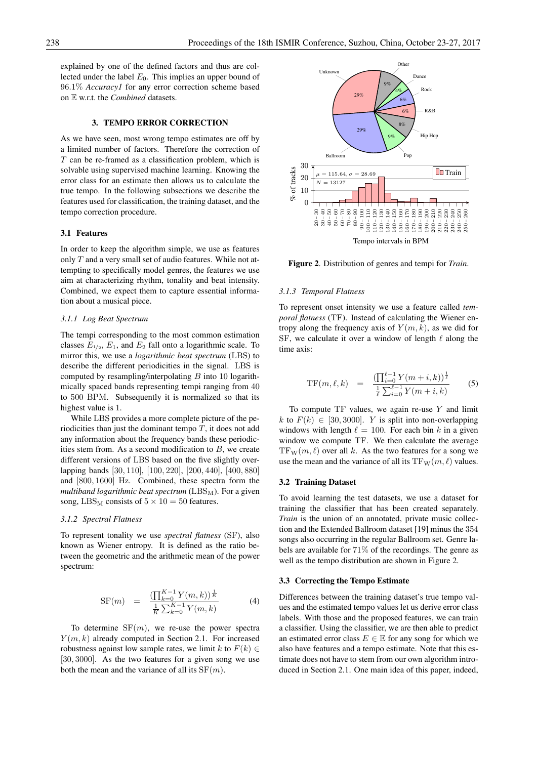explained by one of the defined factors and thus are collected under the label  $E_0$ . This implies an upper bound of 96.1% *Accuracy1* for any error correction scheme based on E w.r.t. the *Combined* datasets.

## 3. TEMPO ERROR CORRECTION

As we have seen, most wrong tempo estimates are off by a limited number of factors. Therefore the correction of  $T$  can be re-framed as a classification problem, which is solvable using supervised machine learning. Knowing the error class for an estimate then allows us to calculate the true tempo. In the following subsections we describe the features used for classification, the training dataset, and the tempo correction procedure.

## 3.1 Features

In order to keep the algorithm simple, we use as features only  $T$  and a very small set of audio features. While not attempting to specifically model genres, the features we use aim at characterizing rhythm, tonality and beat intensity. Combined, we expect them to capture essential information about a musical piece.

## *3.1.1 Log Beat Spectrum*

The tempi corresponding to the most common estimation classes  $E_{1/2}$ ,  $E_1$ , and  $E_2$  fall onto a logarithmic scale. To mirror this, we use a *logarithmic beat spectrum* (LBS) to describe the different periodicities in the signal. LBS is computed by resampling/interpolating  $B$  into 10 logarithmically spaced bands representing tempi ranging from 40 to 500 BPM. Subsequently it is normalized so that its highest value is 1.

While LBS provides a more complete picture of the periodicities than just the dominant tempo  $T$ , it does not add any information about the frequency bands these periodicities stem from. As a second modification to  $B$ , we create different versions of LBS based on the five slightly overlapping bands [30, 110], [100, 220], [200, 440], [400, 880] and [800, 1600] Hz. Combined, these spectra form the *multiband logarithmic beat spectrum* (LBS<sub>M</sub>). For a given song, LBS<sub>M</sub> consists of  $5 \times 10 = 50$  features.

#### *3.1.2 Spectral Flatness*

To represent tonality we use *spectral flatness* (SF), also known as Wiener entropy. It is defined as the ratio between the geometric and the arithmetic mean of the power spectrum:

$$
SF(m) = \frac{\left(\prod_{k=0}^{K-1} Y(m,k)\right)^{\frac{1}{K}}}{\frac{1}{K}\sum_{k=0}^{K-1} Y(m,k)}\tag{4}
$$

To determine  $SF(m)$ , we re-use the power spectra  $Y(m, k)$  already computed in Section 2.1. For increased robustness against low sample rates, we limit k to  $F(k) \in$ [30, 3000]. As the two features for a given song we use both the mean and the variance of all its  $SF(m)$ .



Figure 2. Distribution of genres and tempi for *Train*.

## *3.1.3 Temporal Flatness*

To represent onset intensity we use a feature called *temporal flatness* (TF). Instead of calculating the Wiener entropy along the frequency axis of  $Y(m, k)$ , as we did for SF, we calculate it over a window of length  $\ell$  along the time axis:

$$
\text{TF}(m,\ell,k) = \frac{\left(\prod_{i=0}^{\ell-1} Y(m+i,k)\right)^{\frac{1}{\ell}}}{\frac{1}{\ell} \sum_{i=0}^{\ell-1} Y(m+i,k)} \tag{5}
$$

To compute  $TF$  values, we again re-use  $Y$  and limit k to  $F(k) \in [30, 3000]$ . Y is split into non-overlapping windows with length  $\ell = 100$ . For each bin k in a given window we compute TF. We then calculate the average  $TF_{W}(m, \ell)$  over all k. As the two features for a song we use the mean and the variance of all its  $TF_W(m, \ell)$  values.

#### 3.2 Training Dataset

To avoid learning the test datasets, we use a dataset for training the classifier that has been created separately. *Train* is the union of an annotated, private music collection and the Extended Ballroom dataset [19] minus the 354 songs also occurring in the regular Ballroom set. Genre labels are available for 71% of the recordings. The genre as well as the tempo distribution are shown in Figure 2.

#### 3.3 Correcting the Tempo Estimate

Differences between the training dataset's true tempo values and the estimated tempo values let us derive error class labels. With those and the proposed features, we can train a classifier. Using the classifier, we are then able to predict an estimated error class  $E \in \mathbb{E}$  for any song for which we also have features and a tempo estimate. Note that this estimate does not have to stem from our own algorithm introduced in Section 2.1. One main idea of this paper, indeed,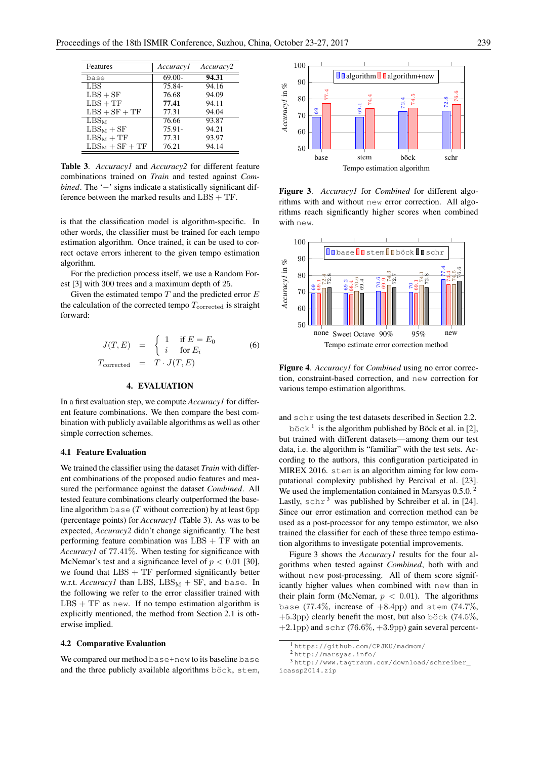| Features          | Accuracyl | Accuracy2 |
|-------------------|-----------|-----------|
| base              | 69.00-    | 94.31     |
| LBS               | 75.84-    | 94.16     |
| $LBS + SF$        | 76.68     | 94.09     |
| $LBS + TF$        | 77.41     | 94.11     |
| $LBS + SF + TF$   | 77.31     | 94.04     |
| LBSM              | 76.66     | 93.87     |
| $LBS_M + SF$      | 75.91-    | 94.21     |
| $LBS_M + TF$      | 77.31     | 93.97     |
| $LBS_M + SF + TF$ | 76.21     | 94.14     |

Table 3. *Accuracy1* and *Accuracy2* for different feature combinations trained on *Train* and tested against *Combined*. The '−' signs indicate a statistically significant difference between the marked results and LBS + TF.

is that the classification model is algorithm-specific. In other words, the classifier must be trained for each tempo estimation algorithm. Once trained, it can be used to correct octave errors inherent to the given tempo estimation algorithm.

For the prediction process itself, we use a Random Forest [3] with 300 trees and a maximum depth of 25.

Given the estimated tempo  $T$  and the predicted error  $E$ the calculation of the corrected tempo  $T_{\text{corrected}}$  is straight forward:

$$
J(T, E) = \begin{cases} 1 & \text{if } E = E_0 \\ i & \text{for } E_i \end{cases}
$$
 (6)  

$$
T_{\text{corrected}} = T \cdot J(T, E)
$$

#### 4. EVALUATION

In a first evaluation step, we compute *Accuracy1* for different feature combinations. We then compare the best combination with publicly available algorithms as well as other simple correction schemes.

#### 4.1 Feature Evaluation

We trained the classifier using the dataset *Train* with different combinations of the proposed audio features and measured the performance against the dataset *Combined*. All tested feature combinations clearly outperformed the baseline algorithm base  $(T$  without correction) by at least 6pp (percentage points) for *Accuracy1* (Table 3). As was to be expected, *Accuracy2* didn't change significantly. The best performing feature combination was  $LBS + TF$  with an *Accuracy1* of 77.41%. When testing for significance with McNemar's test and a significance level of  $p < 0.01$  [30], we found that LBS + TF performed significantly better w.r.t.  $AccuracyI$  than LBS,  $LBS_M + SF$ , and base. In the following we refer to the error classifier trained with  $LBS + TF$  as new. If no tempo estimation algorithm is explicitly mentioned, the method from Section 2.1 is otherwise implied.

#### 4.2 Comparative Evaluation

We compared our method base+new to its baseline base and the three publicly available algorithms böck, stem,



Figure 3. *Accuracy1* for *Combined* for different algorithms with and without new error correction. All algorithms reach significantly higher scores when combined with new.



Figure 4. *Accuracy1* for *Combined* using no error correction, constraint-based correction, and new correction for various tempo estimation algorithms.

and schr using the test datasets described in Section 2.2.

böck<sup>1</sup> is the algorithm published by Böck et al. in [2], but trained with different datasets—among them our test data, i.e. the algorithm is "familiar" with the test sets. According to the authors, this configuration participated in MIREX 2016. stem is an algorithm aiming for low computational complexity published by Percival et al. [23]. We used the implementation contained in Marsyas 0.5.0.<sup>2</sup> Lastly,  $schr^3$  was published by Schreiber et al. in [24]. Since our error estimation and correction method can be used as a post-processor for any tempo estimator, we also trained the classifier for each of these three tempo estimation algorithms to investigate potential improvements.

Figure 3 shows the *Accuracy1* results for the four algorithms when tested against *Combined*, both with and without new post-processing. All of them score significantly higher values when combined with new than in their plain form (McNemar,  $p < 0.01$ ). The algorithms base (77.4%, increase of  $+8.4$ pp) and stem (74.7%,  $+5.3$ pp) clearly benefit the most, but also böck (74.5%,  $+2.1$ pp) and schr (76.6%,  $+3.9$ pp) gain several percent-

<sup>1</sup> https://github.com/CPJKU/madmom/

<sup>2</sup> http://marsyas.info/

<sup>3</sup> http://www.tagtraum.com/download/schreiber\_ icassp2014.zip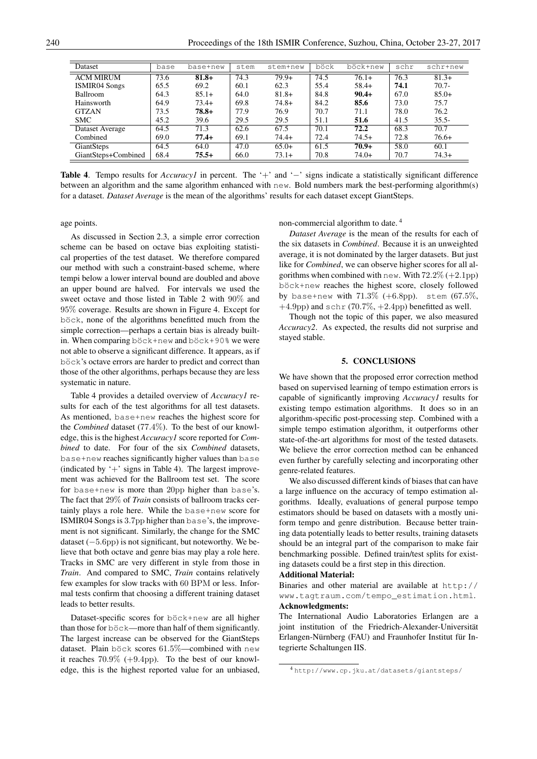| Dataset              | base | base+new | stem | stem+new | böck | böck+new | schr | schr+new |
|----------------------|------|----------|------|----------|------|----------|------|----------|
| <b>ACM MIRUM</b>     | 73.6 | $81.8+$  | 74.3 | $79.9+$  | 74.5 | $76.1+$  | 76.3 | $81.3+$  |
| <b>ISMIR04 Songs</b> | 65.5 | 69.2     | 60.1 | 62.3     | 55.4 | $58.4+$  | 74.1 | $70.7 -$ |
| <b>Ballroom</b>      | 64.3 | $85.1+$  | 64.0 | $81.8+$  | 84.8 | $90.4+$  | 67.0 | $85.0+$  |
| Hainsworth           | 64.9 | $73.4+$  | 69.8 | $74.8+$  | 84.2 | 85.6     | 73.0 | 75.7     |
| <b>GTZAN</b>         | 73.5 | $78.8+$  | 77.9 | 76.9     | 70.7 | 71.1     | 78.0 | 76.2     |
| <b>SMC</b>           | 45.2 | 39.6     | 29.5 | 29.5     | 51.1 | 51.6     | 41.5 | $35.5 -$ |
| Dataset Average      | 64.5 | 71.3     | 62.6 | 67.5     | 70.1 | 72.2     | 68.3 | 70.7     |
| Combined             | 69.0 | $77.4+$  | 69.1 | $74.4+$  | 72.4 | $74.5+$  | 72.8 | $76.6+$  |
| GiantSteps           | 64.5 | 64.0     | 47.0 | $65.0+$  | 61.5 | $70.9+$  | 58.0 | 60.1     |
| GiantSteps+Combined  | 68.4 | $75.5+$  | 66.0 | $73.1+$  | 70.8 | $74.0+$  | 70.7 | $74.3+$  |

Table 4. Tempo results for *Accuracy1* in percent. The '+' and '−' signs indicate a statistically significant difference between an algorithm and the same algorithm enhanced with new. Bold numbers mark the best-performing algorithm(s) for a dataset. *Dataset Average* is the mean of the algorithms' results for each dataset except GiantSteps.

age points.

As discussed in Section 2.3, a simple error correction scheme can be based on octave bias exploiting statistical properties of the test dataset. We therefore compared our method with such a constraint-based scheme, where tempi below a lower interval bound are doubled and above an upper bound are halved. For intervals we used the sweet octave and those listed in Table 2 with 90% and 95% coverage. Results are shown in Figure 4. Except for böck, none of the algorithms benefitted much from the simple correction—perhaps a certain bias is already builtin. When comparing böck+new and böck+90% we were not able to observe a significant difference. It appears, as if böck's octave errors are harder to predict and correct than those of the other algorithms, perhaps because they are less systematic in nature.

Table 4 provides a detailed overview of *Accuracy1* results for each of the test algorithms for all test datasets. As mentioned, base+new reaches the highest score for the *Combined* dataset (77.4%). To the best of our knowledge, this is the highest *Accuracy1* score reported for *Combined* to date. For four of the six *Combined* datasets, base+new reaches significantly higher values than base (indicated by  $+$  signs in Table 4). The largest improvement was achieved for the Ballroom test set. The score for base+new is more than 20pp higher than base's. The fact that 29% of *Train* consists of ballroom tracks certainly plays a role here. While the base+new score for ISMIR04 Songs is 3.7pp higher than base's, the improvement is not significant. Similarly, the change for the SMC dataset  $(-5.6$ pp) is not significant, but noteworthy. We believe that both octave and genre bias may play a role here. Tracks in SMC are very different in style from those in *Train*. And compared to SMC, *Train* contains relatively few examples for slow tracks with 60 BPM or less. Informal tests confirm that choosing a different training dataset leads to better results.

Dataset-specific scores for böck+new are all higher than those for  $b\ddot{\circ}ck$ —more than half of them significantly. The largest increase can be observed for the GiantSteps dataset. Plain böck scores  $61.5\%$ —combined with new it reaches  $70.9\%$  (+9.4pp). To the best of our knowledge, this is the highest reported value for an unbiased, non-commercial algorithm to date. <sup>4</sup>

*Dataset Average* is the mean of the results for each of the six datasets in *Combined*. Because it is an unweighted average, it is not dominated by the larger datasets. But just like for *Combined*, we can observe higher scores for all algorithms when combined with new. With  $72.2\%$  (+2.1pp) böck+new reaches the highest score, closely followed by base+new with  $71.3\%$  (+6.8pp). stem  $(67.5\%$ ,  $+4.9$ pp) and schr (70.7%,  $+2.4$ pp) benefitted as well.

Though not the topic of this paper, we also measured *Accuracy2*. As expected, the results did not surprise and stayed stable.

#### 5. CONCLUSIONS

We have shown that the proposed error correction method based on supervised learning of tempo estimation errors is capable of significantly improving *Accuracy1* results for existing tempo estimation algorithms. It does so in an algorithm-specific post-processing step. Combined with a simple tempo estimation algorithm, it outperforms other state-of-the-art algorithms for most of the tested datasets. We believe the error correction method can be enhanced even further by carefully selecting and incorporating other genre-related features.

We also discussed different kinds of biases that can have a large influence on the accuracy of tempo estimation algorithms. Ideally, evaluations of general purpose tempo estimators should be based on datasets with a mostly uniform tempo and genre distribution. Because better training data potentially leads to better results, training datasets should be an integral part of the comparison to make fair benchmarking possible. Defined train/test splits for existing datasets could be a first step in this direction.

#### Additional Material:

Binaries and other material are available at http:// www.tagtraum.com/tempo\_estimation.html. Acknowledgments:

The International Audio Laboratories Erlangen are a joint institution of the Friedrich-Alexander-Universität Erlangen-Nürnberg (FAU) and Fraunhofer Institut für Integrierte Schaltungen IIS.

<sup>4</sup> http://www.cp.jku.at/datasets/giantsteps/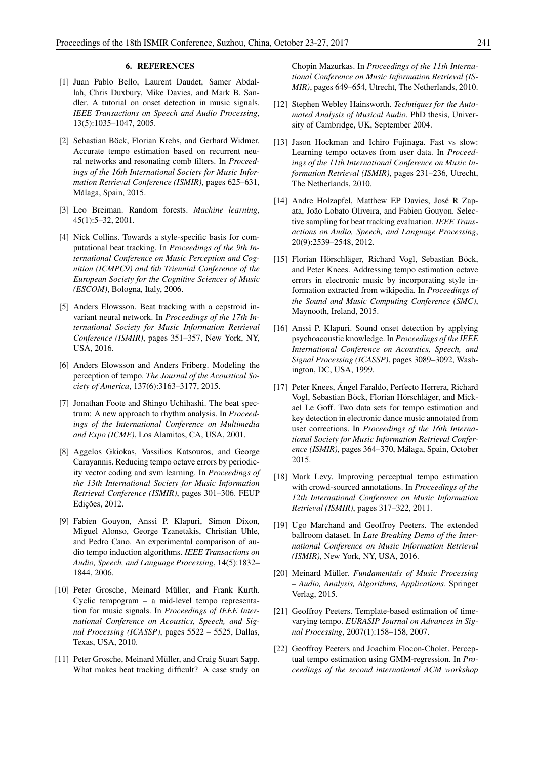#### 6. REFERENCES

- [1] Juan Pablo Bello, Laurent Daudet, Samer Abdallah, Chris Duxbury, Mike Davies, and Mark B. Sandler. A tutorial on onset detection in music signals. *IEEE Transactions on Speech and Audio Processing*, 13(5):1035–1047, 2005.
- [2] Sebastian Böck, Florian Krebs, and Gerhard Widmer. Accurate tempo estimation based on recurrent neural networks and resonating comb filters. In *Proceedings of the 16th International Society for Music Information Retrieval Conference (ISMIR)*, pages 625–631, Málaga, Spain, 2015.
- [3] Leo Breiman. Random forests. *Machine learning*, 45(1):5–32, 2001.
- [4] Nick Collins. Towards a style-specific basis for computational beat tracking. In *Proceedings of the 9th International Conference on Music Perception and Cognition (ICMPC9) and 6th Triennial Conference of the European Society for the Cognitive Sciences of Music (ESCOM)*, Bologna, Italy, 2006.
- [5] Anders Elowsson. Beat tracking with a cepstroid invariant neural network. In *Proceedings of the 17th International Society for Music Information Retrieval Conference (ISMIR)*, pages 351–357, New York, NY, USA, 2016.
- [6] Anders Elowsson and Anders Friberg. Modeling the perception of tempo. *The Journal of the Acoustical Society of America*, 137(6):3163–3177, 2015.
- [7] Jonathan Foote and Shingo Uchihashi. The beat spectrum: A new approach to rhythm analysis. In *Proceedings of the International Conference on Multimedia and Expo (ICME)*, Los Alamitos, CA, USA, 2001.
- [8] Aggelos Gkiokas, Vassilios Katsouros, and George Carayannis. Reducing tempo octave errors by periodicity vector coding and svm learning. In *Proceedings of the 13th International Society for Music Information Retrieval Conference (ISMIR)*, pages 301–306. FEUP Edições, 2012.
- [9] Fabien Gouyon, Anssi P. Klapuri, Simon Dixon, Miguel Alonso, George Tzanetakis, Christian Uhle, and Pedro Cano. An experimental comparison of audio tempo induction algorithms. *IEEE Transactions on Audio, Speech, and Language Processing*, 14(5):1832– 1844, 2006.
- [10] Peter Grosche, Meinard Müller, and Frank Kurth. Cyclic tempogram – a mid-level tempo representation for music signals. In *Proceedings of IEEE International Conference on Acoustics, Speech, and Signal Processing (ICASSP)*, pages 5522 – 5525, Dallas, Texas, USA, 2010.
- [11] Peter Grosche, Meinard Müller, and Craig Stuart Sapp. What makes beat tracking difficult? A case study on

Chopin Mazurkas. In *Proceedings of the 11th International Conference on Music Information Retrieval (IS-MIR)*, pages 649–654, Utrecht, The Netherlands, 2010.

- [12] Stephen Webley Hainsworth. *Techniques for the Automated Analysis of Musical Audio*. PhD thesis, University of Cambridge, UK, September 2004.
- [13] Jason Hockman and Ichiro Fujinaga. Fast vs slow: Learning tempo octaves from user data. In *Proceedings of the 11th International Conference on Music Information Retrieval (ISMIR)*, pages 231–236, Utrecht, The Netherlands, 2010.
- [14] Andre Holzapfel, Matthew EP Davies, José R Zapata, João Lobato Oliveira, and Fabien Gouyon. Selective sampling for beat tracking evaluation. *IEEE Transactions on Audio, Speech, and Language Processing*, 20(9):2539–2548, 2012.
- [15] Florian Hörschläger, Richard Vogl, Sebastian Böck, and Peter Knees. Addressing tempo estimation octave errors in electronic music by incorporating style information extracted from wikipedia. In *Proceedings of the Sound and Music Computing Conference (SMC)*, Maynooth, Ireland, 2015.
- [16] Anssi P. Klapuri. Sound onset detection by applying psychoacoustic knowledge. In *Proceedings of the IEEE International Conference on Acoustics, Speech, and Signal Processing (ICASSP)*, pages 3089–3092, Washington, DC, USA, 1999.
- [17] Peter Knees, Ángel Faraldo, Perfecto Herrera, Richard Vogl, Sebastian Böck, Florian Hörschläger, and Mickael Le Goff. Two data sets for tempo estimation and key detection in electronic dance music annotated from user corrections. In *Proceedings of the 16th International Society for Music Information Retrieval Conference (ISMIR)*, pages 364–370, Malaga, Spain, October ´ 2015.
- [18] Mark Levy. Improving perceptual tempo estimation with crowd-sourced annotations. In *Proceedings of the 12th International Conference on Music Information Retrieval (ISMIR)*, pages 317–322, 2011.
- [19] Ugo Marchand and Geoffroy Peeters. The extended ballroom dataset. In *Late Breaking Demo of the International Conference on Music Information Retrieval (ISMIR)*, New York, NY, USA, 2016.
- [20] Meinard Müller. *Fundamentals of Music Processing – Audio, Analysis, Algorithms, Applications*. Springer Verlag, 2015.
- [21] Geoffroy Peeters. Template-based estimation of timevarying tempo. *EURASIP Journal on Advances in Signal Processing*, 2007(1):158–158, 2007.
- [22] Geoffroy Peeters and Joachim Flocon-Cholet. Perceptual tempo estimation using GMM-regression. In *Proceedings of the second international ACM workshop*